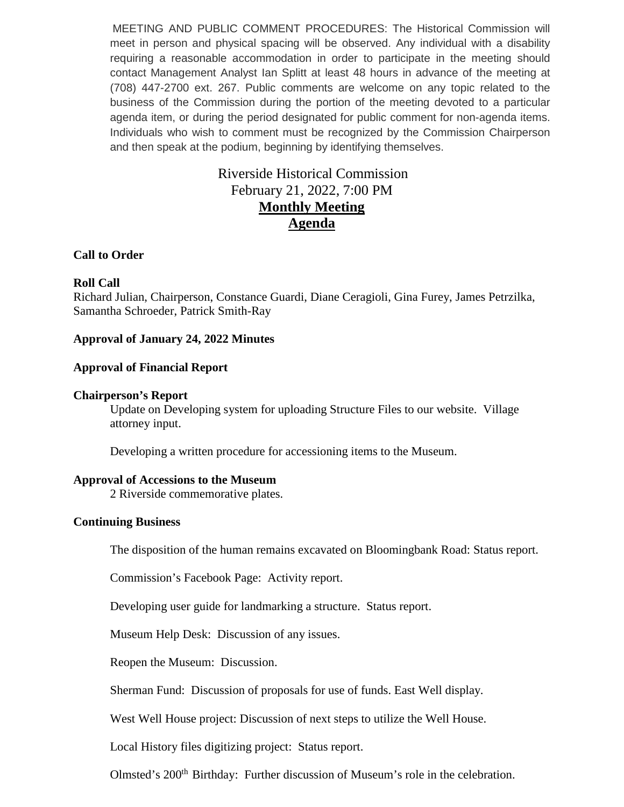MEETING AND PUBLIC COMMENT PROCEDURES: The Historical Commission will meet in person and physical spacing will be observed. Any individual with a disability requiring a reasonable accommodation in order to participate in the meeting should contact Management Analyst Ian Splitt at least 48 hours in advance of the meeting at (708) 447-2700 ext. 267. Public comments are welcome on any topic related to the business of the Commission during the portion of the meeting devoted to a particular agenda item, or during the period designated for public comment for non-agenda items. Individuals who wish to comment must be recognized by the Commission Chairperson and then speak at the podium, beginning by identifying themselves.

# Riverside Historical Commission February 21, 2022, 7:00 PM **Monthly Meeting Agenda**

## **Call to Order**

### **Roll Call**

Richard Julian, Chairperson, Constance Guardi, Diane Ceragioli, Gina Furey, James Petrzilka, Samantha Schroeder, Patrick Smith-Ray

### **Approval of January 24, 2022 Minutes**

#### **Approval of Financial Report**

#### **Chairperson's Report**

Update on Developing system for uploading Structure Files to our website. Village attorney input.

Developing a written procedure for accessioning items to the Museum.

#### **Approval of Accessions to the Museum**

2 Riverside commemorative plates.

#### **Continuing Business**

The disposition of the human remains excavated on Bloomingbank Road: Status report.

Commission's Facebook Page: Activity report.

Developing user guide for landmarking a structure. Status report.

Museum Help Desk: Discussion of any issues.

Reopen the Museum: Discussion.

Sherman Fund: Discussion of proposals for use of funds. East Well display.

West Well House project: Discussion of next steps to utilize the Well House.

Local History files digitizing project: Status report.

Olmsted's 200<sup>th</sup> Birthday: Further discussion of Museum's role in the celebration.